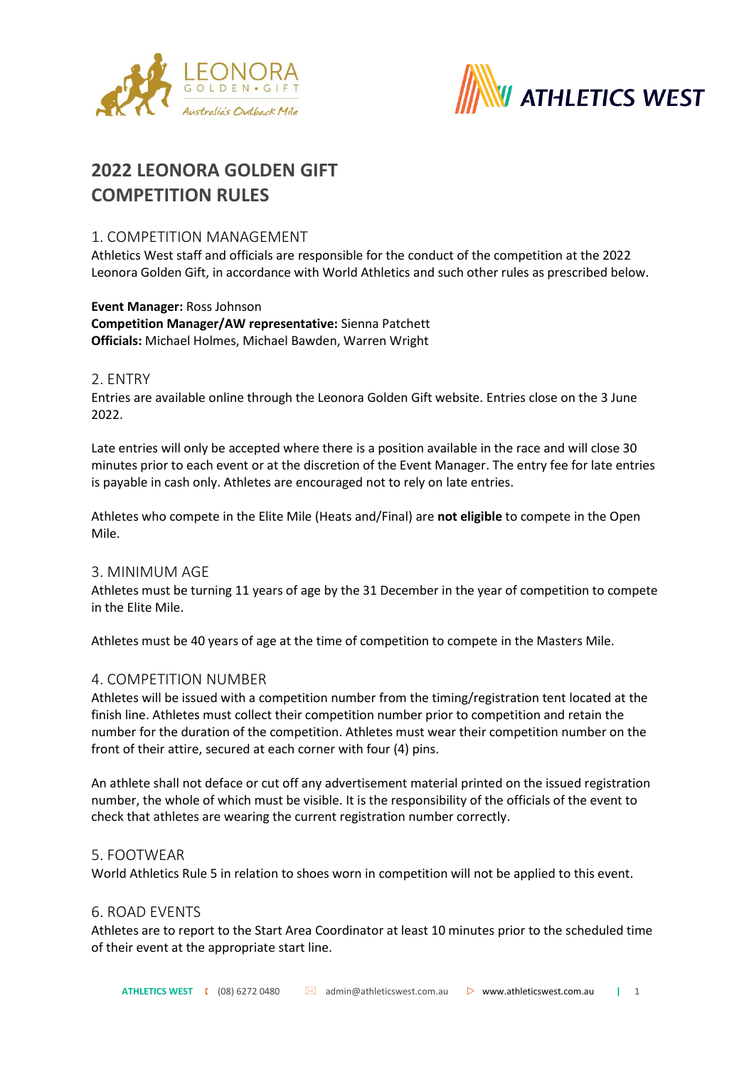



# **2022 LEONORA GOLDEN GIFT COMPETITION RULES**

## 1. COMPETITION MANAGEMENT

Athletics West staff and officials are responsible for the conduct of the competition at the 2022 Leonora Golden Gift, in accordance with World Athletics and such other rules as prescribed below.

### **Event Manager:** Ross Johnson **Competition Manager/AW representative:** Sienna Patchett **Officials:** Michael Holmes, Michael Bawden, Warren Wright

## 2. ENTRY

Entries are available online through the Leonora Golden Gift website. Entries close on the 3 June 2022.

Late entries will only be accepted where there is a position available in the race and will close 30 minutes prior to each event or at the discretion of the Event Manager. The entry fee for late entries is payable in cash only. Athletes are encouraged not to rely on late entries.

Athletes who compete in the Elite Mile (Heats and/Final) are **not eligible** to compete in the Open Mile.

#### 3. MINIMUM AGE

Athletes must be turning 11 years of age by the 31 December in the year of competition to compete in the Elite Mile.

Athletes must be 40 years of age at the time of competition to compete in the Masters Mile.

#### 4. COMPETITION NUMBER

Athletes will be issued with a competition number from the timing/registration tent located at the finish line. Athletes must collect their competition number prior to competition and retain the number for the duration of the competition. Athletes must wear their competition number on the front of their attire, secured at each corner with four (4) pins.

An athlete shall not deface or cut off any advertisement material printed on the issued registration number, the whole of which must be visible. It is the responsibility of the officials of the event to check that athletes are wearing the current registration number correctly.

#### 5. FOOTWEAR

World Athletics Rule 5 in relation to shoes worn in competition will not be applied to this event.

#### 6. ROAD EVENTS

Athletes are to report to the Start Area Coordinator at least 10 minutes prior to the scheduled time of their event at the appropriate start line.